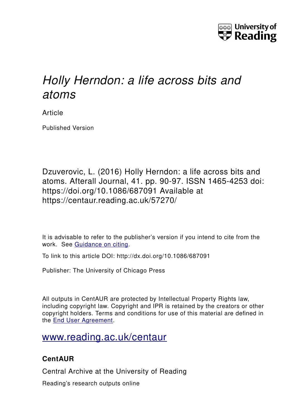

# *Holly Herndon: a life across bits and atoms*

Article

Published Version

Dzuverovic, L. (2016) Holly Herndon: a life across bits and atoms. Afterall Journal, 41. pp. 90-97. ISSN 1465-4253 doi: https://doi.org/10.1086/687091 Available at https://centaur.reading.ac.uk/57270/

It is advisable to refer to the publisher's version if you intend to cite from the work. See [Guidance on citing.](http://centaur.reading.ac.uk/71187/10/CentAUR%20citing%20guide.pdf)

To link to this article DOI: http://dx.doi.org/10.1086/687091

Publisher: The University of Chicago Press

All outputs in CentAUR are protected by Intellectual Property Rights law, including copyright law. Copyright and IPR is retained by the creators or other copyright holders. Terms and conditions for use of this material are defined in the [End User Agreement.](http://centaur.reading.ac.uk/licence)

## [www.reading.ac.uk/centaur](http://www.reading.ac.uk/centaur)

#### **CentAUR**

Central Archive at the University of Reading

Reading's research outputs online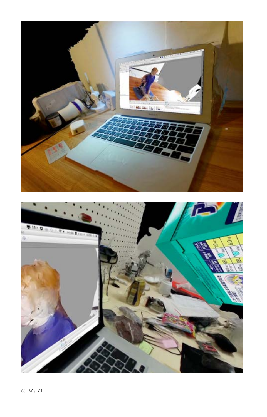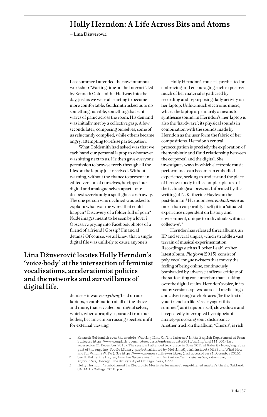### **Holly Herndon: A Life Across Bits and Atoms**

**— Lina Džuverović**

Last summer I attended the now infamous workshop 'Wasting time on the Internet', led by Kenneth Goldsmith.1 Halfway into the day, just as we were all starting to become more comfortable, Goldsmith asked us to do something horrible, something that sent waves of panic across the room. His demand was initially met by a collective gasp. A few seconds later, composing ourselves, some of us reluctantly complied, while others became angry, attempting to refuse participation.

 What Goldsmith had asked was that we each hand our personal laptop to whomever was sitting next to us. He then gave everyone permission to browse freely through all the files on the laptop just received. Without warning, without the chance to present an edited version of ourselves, he ripped our digital and analogue selves apart – our deepest secrets only a spotlight search away. The one person who declined was asked to explain: what was the worst that could happen? Discovery of a folder full of porn? Nude images meant to be seen by a lover? Obsessive prying into Facebook photos of a friend of a friend? Gossip? Financial details? Of course, we all knew that a single digital file was unlikely to cause anyone's

**Lina Džuverović locates Holly Herndon's 'voice-body' at the intersection of feminist vocalisations, accelerationist politics and the networks and surveillance of digital life.**

> demise – it was *everything* held on our laptops, a combination of all of the above and more, that revealed our digital selves, which, when abruptly separated from our bodies, became embarrassing spectres unfit for external viewing.

 Holly Herndon's music is predicated on embracing and encouraging such exposure: much of her material is gathered by recording and repurposing daily activity on her laptop. Unlike much electronic music, where the laptop is primarily a means to synthesise sound, in Herndon's, her laptop is also the 'hardware'; its physical sounds in combination with the sounds made by Herndon as the user form the fabric of her compositions. Herndon's central preoccupation is precisely the exploration of the symbiotic and fluid relationship between the corporeal and the digital. She investigates ways in which electronic music performance can become an embodied experience, seeking to understand the place of her own body in the complex picture of the technological present. Informed by the writing of N. Katherine Hayles on the post-human,2 Herndon sees *embodiment* as more than corporality itself; it is a 'situated experience dependent on history and environment, unique to individuals within a collective'.3

 Herndon has released three albums, an EP and several singles, which straddle a vast terrain of musical experimentation. Recordings such as 'Locker Leak', on her latest album, *Platform* (2015)*,* consist of poly-vocal tongue twisters that convey the feeling of being online, continuously bombarded by adverts; it offers a critique of the suffocating consumerism that is taking over the digital realm. Herndon's voice, in its many versions, spews out social media lingo and advertising catchphrases ('be the first of your friends to like Greek yogurt this summer') as it trips on itself, slows down and is repeatedly interrupted by snippets of anxiety-provoking sonic disturbance. Another track on the album, 'Chorus', is rich

<sup>1</sup> Kenneth Goldsmith runs the module 'Wasting Time On The Internet' in the English Department at Penn State; see https://www.english.upenn.edu/courses/undergraduate/2015/spring/engl111.301 (last accessed on 21 December 2015). The session I attended took place in June 2015 at Galerija Nova, Zagreb as<br>part of the ongoing 'Public Library' project initiated by Multimedijalni institut (MI2) and What How and for Whom (WHW). See https://www.memoryoftheworld.org (last accessed on 21 December 2015). 2 See N. Katherine Hayles, *How We Became Posthuman: Virtual Bodies in Cybernetics, Literature, and* 

*Informatics*, Chicago: The University of Chicago Press, 1999. 3 Holly Herndon, 'Embodiment in Electronic Music Performance', unpublished master's thesis, Oakland,

CA: Mills College, 2010, p.4.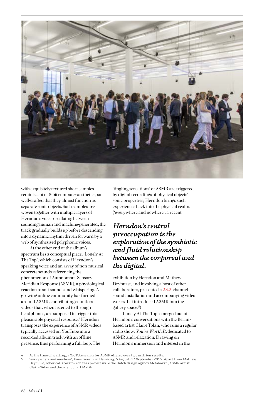

with exquisitely textured short samples reminiscent of 8-bit computer aesthetics, so well-crafted that they almost function as separate sonic objects. Such samples are woven together with multiple layers of Herndon's voice, oscillating between sounding human and machine-generated; the track gradually builds up before descending into a dynamic rhythm driven forward by a web of synthesised polyphonic voices.

 At the other end of the album's spectrum lies a conceptual piece, 'Lonely At The Top', which consists of Herndon's speaking voice and an array of non-musical, concrete sounds referencing the phenomenon of Autonomous Sensory Meridian Response (ASMR), a physiological reaction to soft sounds and whispering. A growing online community has formed around ASMR, contributing countless videos that, when listened to through headphones, are supposed to trigger this pleasurable physical response.4 Herndon transposes the experience of ASMR videos typically accessed on YouTube into a recorded album track with an offline presence, thus performing a full loop. The

'tingling sensations' of ASMR are triggered by digital recordings of physical objects' sonic properties; Herndon brings such experiences back into the physical realm. ('everywhere and nowhere', a recent

*Herndon's central preoccupation is the exploration of the symbiotic and fluid relationship between the corporeal and the digital.*

exhibition by Herndon and Mathew Dryhurst, and involving a host of other collaborators, presented a 23.2-channel sound installation and accompanying video works that introduced ASMR into the gallery space.5 )

 'Lonely At The Top' emerged out of Herndon's conversations with the Berlinbased artist Claire Tolan, who runs a regular radio show, *You're Worth It,* dedicated to ASMR and relaxation. Drawing on Herndon's immersion and interest in the

<sup>4</sup> At the time of writing, a YouTube search for ASMR offered over two million results.<br>5 Your type and nowhere' Kunstygerein in Hamburg 6 August-13 Sentember 2015

<sup>5</sup> 'everywhere and nowhere', Kunstverein in Hamburg, 6 August–13 September 2015. Apart from Mathew Dryhurst, other collaborators on this project were the Dutch design agency Metahaven, ASMR artist Claire Tolan and theorist Suhail Malik.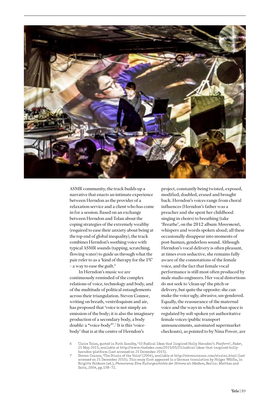

ASMR community, the track builds up a narrative that enacts an intimate experience between Herndon as the provider of a relaxation service and a client who has come in for a session. Based on an exchange between Herndon and Tolan about the coping strategies of the extremely wealthy (required to ease their anxiety about being at the top end of global inequality), the track combines Herndon's soothing voice with typical ASMR sounds (tapping, scratching, flowing water) to guide us through what the pair refer to as a 'kind of therapy for the 1%' – a way to ease the guilt.6

 In Herndon's music we are continuously reminded of the complex relations of voice, technology and body, and of the multitude of political entanglements across their triangulation. Steven Connor, writing on breath, ventriloquism and air. has proposed that 'voice is not simply an emission of the body; it is also the imaginary production of a secondary body, a body double: a "voice-body"'.7 It is this 'voicebody' that is at the centre of Herndon's

project, constantly being twisted, exposed, modified, doubled, erased and brought back. Herndon's voices range from choral influences (Herndon's father was a preacher and she spent her childhood singing in choirs) to breathing (take 'Breathe', on the 2012 album *Movement*), whispers and words spoken aloud; all these occasionally disappear into moments of post-human, genderless sound. Although Herndon's vocal delivery is often pleasant, at times even seductive, she remains fully aware of the connotations of the female voice, and the fact that female vocal performance is still most often produced by male studio engineers. Her vocal distortions do not seek to 'clean up' the pitch or delivery, but quite the opposite: she can make the voice ugly, abrasive, un-gendered. Equally, the reassurance of the maternal voice and the ways in which urban space is regulated by soft-spoken yet authoritative female voices (public transport announcements, automated supermarket checkouts), as pointed to by Nina Power, are

<sup>6</sup> Claire Tolan, quoted in Ruth Saxelby, '10 Radical Ideas that Inspired Holly Herndon's *Platform*'*, Fader*, 21 May 2015, available at http://www.thefader.com/2015/05/21/radical-ideas-that-inspired-hollyherndon-platform (last accessed on 21 December 2015).

<sup>7</sup> Steven Connor, 'The Strain of the Voice' (2004), available at http://stevenconnor.com/strains.html (last accessed on 21 December 2015). This essay first appeared in a German translation by Holger Wölfle, in Brigitte Felderer (ed.), *Phonorama: Eine Kulturgeschichte der Stimme als Medium*, Berlin: Matthes and Seitz, 2004, pp.158–72.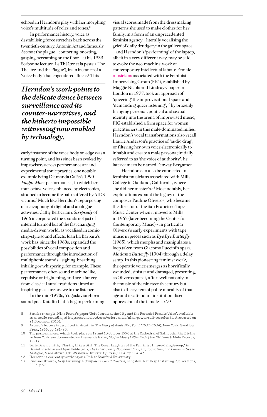echoed in Herndon's play with her morphing voice's multitude of roles and tones.<sup>8</sup>

 In performance history, voice as destabilising force stretches back across the twentieth-century. Antonin Artaud famously *became* the plague – contorting, snorting, gasping, screaming on the floor – at his 1933 Sorbonne lecture 'Le Théâtre et la peste' ('The Theatre and the Plague'), in an instance of a 'voice-body' that engendered illness.8 This

*Herndon's work points to the delicate dance between surveillance and its counter-narratives, and the hitherto impossible witnessing now enabled by technology.*

early instance of the voice-body on edge was a turning point, and has since been evoked by improvisers across performance art and experimental sonic practice, one notable example being Diamanda Galás's 1990 *Plague Mass* performances, in which her four-octave voice, enhanced by electronics, strained to become the pain suffered by AIDS victims.9 Much like Herndon's repurposing of a cacophony of digital and analogue activities, Cathy Berberian's *Stripsody* of 1966 incorporated the sounds not just of internal turmoil but of the fast changing media-driven world, as vocalised in comicstrip-style sound effects. Joan La Barbara's work has, since the 1960s, expanded the possibilities of vocal composition and performance through the introduction of multiphonic sounds – sighing, breathing, inhaling or whispering, for example. These performances often sound machine-like, repulsive or frightening, and are a far cry from classical aural traditions aimed at inspiring pleasure or awe in the listener.

 In the mid-1970s, Yugoslavian-born sound poet Katalin Ladik began performing

visual scores made from the dressmaking patterns she used to make clothes for her family, in a form of an unprecedented feminist agency – literally vocalising the grief of daily drudgery in the gallery space – and Herndon's 'performing' of the laptop, albeit in a very different way, may be said to evoke the neo-machine-work of contemporary intellectual labour. Female musicians associated with the Feminist Improvising Group (FIG), established by Maggie Nicols and Lindsay Cooper in London in 1977, took an approach of 'queering' the improvisational space and 'demanding queer listening';<sup>10</sup> by brazenly bringing personal, political and sexual identity into the arena of improvised music, FIG established a firm space for women practitioners in this male-dominated milieu. Herndon's vocal transformations also recall Laurie Anderson's practice of 'audio drag', or filtering her own voice electronically to inhabit and create a male persona; initially referred to as 'the voice of authority', he later came to be named Fenway Bergamot.

 Herndon can also be connected to feminist musicians associated with Mills College in Oakland, California, where she did her master's.11 Most notably, her explorations expand the legacy of the composer Pauline Oliveros, who became the director of the San Francisco Tape Music Center when it moved to Mills in 1967 (later becoming the Center for Contemporary Music) – in particular Oliveros's early experiments with tape music in pieces such as *Bye Bye Butterfly* (1965), which morphs and manipulates a loop taken from Giacomo Puccini's opera *Madama Butterfly* (1904) through a delay setup. In this pioneering feminist work, the operatic voice emerges as horrifically wounded, sinister and damaged, presenting, as Oliveros puts it, a 'farewell not only to the music of the nineteenth century but also to the system of polite morality of that age and its attendant institutionalised oppression of the female sex'.12

<sup>8</sup> See, for example, Nina Power's paper 'Soft Coercion, the City and the Recorded Female Voice', available as an audio recording at https://soundcloud.com/uclurbanlab/nina-power-soft-coercion (last accessed on 21 December 2015).

<sup>9</sup> Artaud's lecture is described in detail in *The Diary of Anaïs Nin, Vol. I (1931–1934*), New York: Swallow Press, 1966, pp.191–93.

<sup>10</sup> The performances, which took place on 12 and 13 October 1990 at the Cathedral of Saint John the Divine in New York, are documented on Diamanda Galás, *Plague Mass (1984–End of the Epidemic)* (Mute Records, 1991).

<sup>11</sup> Julie Dawn Smith, 'Playing Like a Girl: The Queer Laughter of the Feminist Improvising Group,' in<br>Daniel Fischlin and Ajay Heble (ed.), *The Other Side of Nowhere: Jazz, Improvisation, and Communities in*<br>Dialogue, Midd

<sup>12</sup> Herndon is currently working on a PhD at Stanford University.

<sup>13</sup> Pauline Oliveros, *Deep Listening: A Composer's Sound Practice*, Kingston, NY: Deep Listening Publications, 2005, p.92.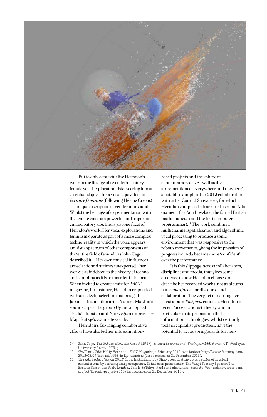

 But to only contextualise Herndon's work in the lineage of twentieth-century female vocal exploration risks veering into an essentialist quest for a vocal equivalent of *écriture féminine* (following Hélène Cixous) – a unique inscription of gender into sound. Whilst the heritage of experimentation with the female voice is a powerful and important emancipatory site, this is just one facet of Herndon's work. Her vocal explorations and feminism operate as part of a more complex techno-reality in which the voice appears amidst a spectrum of other components of the 'entire field of sound', as John Cage described it.13 Her own musical influences are eclectic and at times unexpected – her work is as indebted to the history of techno and sampling as it is to more leftfield forms. When invited to create a mix for *FACT* magazine, for instance, Herndon responded with an eclectic selection that bridged Japanese installation artist Yutaka Makino's soundscapes, the group Ugandan Speed Trials's dubstep and Norwegian improviser Maja Ratkje's exquisite vocals.14

 Herndon's far-ranging collaborative efforts have also led her into exhibitionbased projects and the sphere of contemporary art. As well as the aforementioned 'everywhere and nowhere', a notable example is her 2013 collaboration with artist Conrad Shawcross, for which Herndon composed a track for his robot Ada (named after Ada Lovelace, the famed British mathematician and the first computer programmer).15 The work combined multichannel spatialisation and algorithmic vocal processing to produce a sonic environment that was responsive to the robot's movements, giving the impression of progression: Ada became more 'confident' over the performance.

 It is this slippage, across collaborators, disciplines and media, that gives some credence to how Herndon chooses to describe her recorded works, not as albums but as *platforms* for discourse and collaboration. The very act of naming her latest album *Platform* connects Herndon to recent 'accelerationist' theory, and in particular, to its proposition that information technologies, whilst certainly tools in capitalist production, have the potential to act as springboards for non-

<sup>14</sup> John Cage, 'The Future of Music: Credo' (1937), *Silence: Lectures and Writings*, Middletown, CT: Wesleyan

University Press, 1973, p.4. 15 'FACT mix 368: Holly Herndon', *FACT Magazine,* 4 February 2013, available at http://www.factmag.com/ 2013/02/04/fact-mix-368-holly-herndon/ (last accessed on 21 December 2015).

<sup>16</sup> The Ada Project (begun 2013) is an installation by Shawcross that involves a series of musical commissions by contemporary composers. It has been presented at The Vinyl Factory Space at The Brewer Street Car Park, London, Palais de Tokyo, Paris and elsewhere. See http://conradshawcross.com/ project/the-ada-project-2013 (last accessed on 21 December 2015).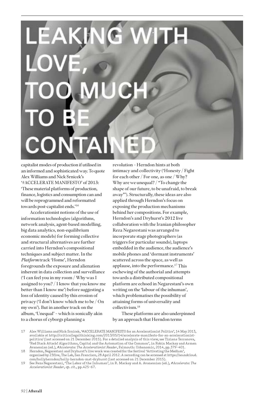capitalist modes of production if utilised in an informed and sophisticated way. To quote Alex Williams and Nick Srnicek's '#ACCELERATE MANIFESTO' of 2013: 'These material platforms of production, finance, logistics and consumption can and will be reprogrammed and reformatted towards post-capitalist ends.'16

 Accelerationist notions of the use of information technologies (algorithms, network analysis, agent-based modelling, big data analytics, non-equilibrium economic models) for forming collective and structural alternatives are further carried into Herndon's compositional techniques and subject matter. In the *Platform* track 'Home', Herndon foregrounds the exposure and alienation inherent in data collection and surveillance ('I can feel you in my room / Why was I assigned to you? / I know that you know me better than I know me') before suggesting a loss of identity caused by this erosion of privacy ('I don't know which me to be / On my own'). But in another track on the album, 'Unequal' – which is sonically akin to a chorus of cyborgs planning a

revolution – Herndon hints at both intimacy and collectivity ('Honesty / Fight for each other / For one, as one / Why? Why are we unequal?  $/$  "To change the shape of our future, to be unafraid, to break away"'). Structurally, these ideas are also applied through Herndon's focus on exposing the production mechanisms behind her compositions. For example, Herndon's and Dryhurst's 2012 live collaboration with the Iranian philosopher Reza Negarestani was arranged to incorporate stage photographers (as triggers for particular sounds), laptops embedded in the audience, the audience's mobile phones and 'dormant instruments' scattered across the space, as well as applause, into the performance.17 This eschewing of the authorial and attempts towards a distributed compositional platform are echoed in Negarestani's own writing on the 'labour of the inhuman', which problematises the possibility of attaining forms of universality and collectivism.18

 These platforms are also underpinned by an approach that Herndon terms

<sup>17</sup> Alex Williams and Nick Srnicek, '#ACCELERATE MANIFESTO for an Accelerationist Politics', 14 May 2013, available at http://criticallegalthinking.com/2013/05/14/accelerate-manifesto-for-an-accelerationistpolitics/ (last accessed on 21 December 2015). For a detailed analysis of this view, see Tiziana Terranova, 'Red Stack Attack! Algorithms, Capital and the Automation of the Common', in Robin Mackay and Armen Avanessian (ed.), *#Accelerate: The Accelerationist Reader*, Falmouth: Urbanomic, 2014, pp.379–401.

<sup>18</sup> Herndon, Negarestani and Dryhurst's live work was created for the festival 'Activating the Medium', organised by 23five, The Lab, San Francisco, 28 April 2012. A recording can be accessed at https://soundcloud.

com/hollyherndon/holly-herndon-mat-dryhurst (last accessed on 21 December 2015). 19 See Reza Negarestani, 'The Labor of the Inhuman', in R. Mackay and A. Avanessian (ed.), *#Accelerate: The Accelerationist Reader*, *op. cit.,* pp.425–67.